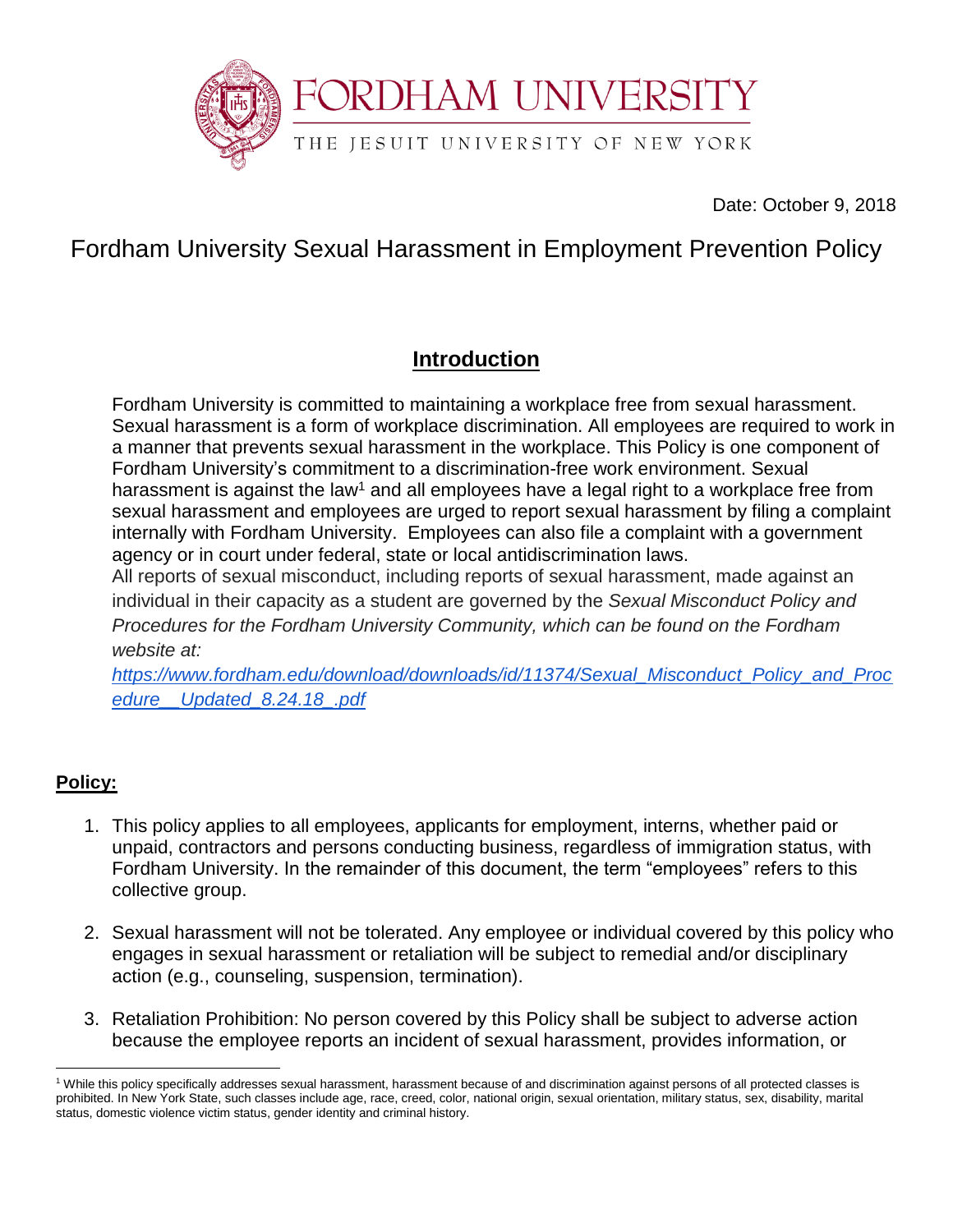

Date: October 9, 2018

# Fordham University Sexual Harassment in Employment Prevention Policy

### **Introduction All Employers in New York State**

Fordham University is committed to maintaining a workplace free from sexual harassment. Sexual harassment is a form of workplace discrimination. All employees are required to work in a manner that prevents sexual harassment in the workplace. This Policy is one component of Fordham University's commitment to a discrimination-free work environment. Sexual harassment is against the law<sup>1</sup> and all employees have a legal right to a workplace free from sexual harassment and employees are urged to report sexual harassment by filing a complaint internally with Fordham University. Employees can also file a complaint with a government agency or in court under federal, state or local antidiscrimination laws.

All reports of sexual misconduct, including reports of sexual harassment, made against an individual in their capacity as a student are governed by the *Sexual Misconduct Policy and Procedures for the Fordham University Community, which can be found on the Fordham website at:* 

*[https://www.fordham.edu/download/downloads/id/11374/Sexual\\_Misconduct\\_Policy\\_and\\_Proc](https://www.fordham.edu/download/downloads/id/11374/Sexual_Misconduct_Policy_and_Procedure__Updated_8.24.18_.pdf) [edure\\_\\_Updated\\_8.24.18\\_.pdf](https://www.fordham.edu/download/downloads/id/11374/Sexual_Misconduct_Policy_and_Procedure__Updated_8.24.18_.pdf)*

### **Policy:**

 $\overline{a}$ 

- 1. This policy applies to all employees, applicants for employment, interns, whether paid or unpaid, contractors and persons conducting business, regardless of immigration status, with Fordham University. In the remainder of this document, the term "employees" refers to this collective group.
- 2. Sexual harassment will not be tolerated. Any employee or individual covered by this policy who engages in sexual harassment or retaliation will be subject to remedial and/or disciplinary action (e.g., counseling, suspension, termination).
- 3. Retaliation Prohibition: No person covered by this Policy shall be subject to adverse action because the employee reports an incident of sexual harassment, provides information, or

<sup>1</sup> While this policy specifically addresses sexual harassment, harassment because of and discrimination against persons of all protected classes is prohibited. In New York State, such classes include age, race, creed, color, national origin, sexual orientation, military status, sex, disability, marital status, domestic violence victim status, gender identity and criminal history.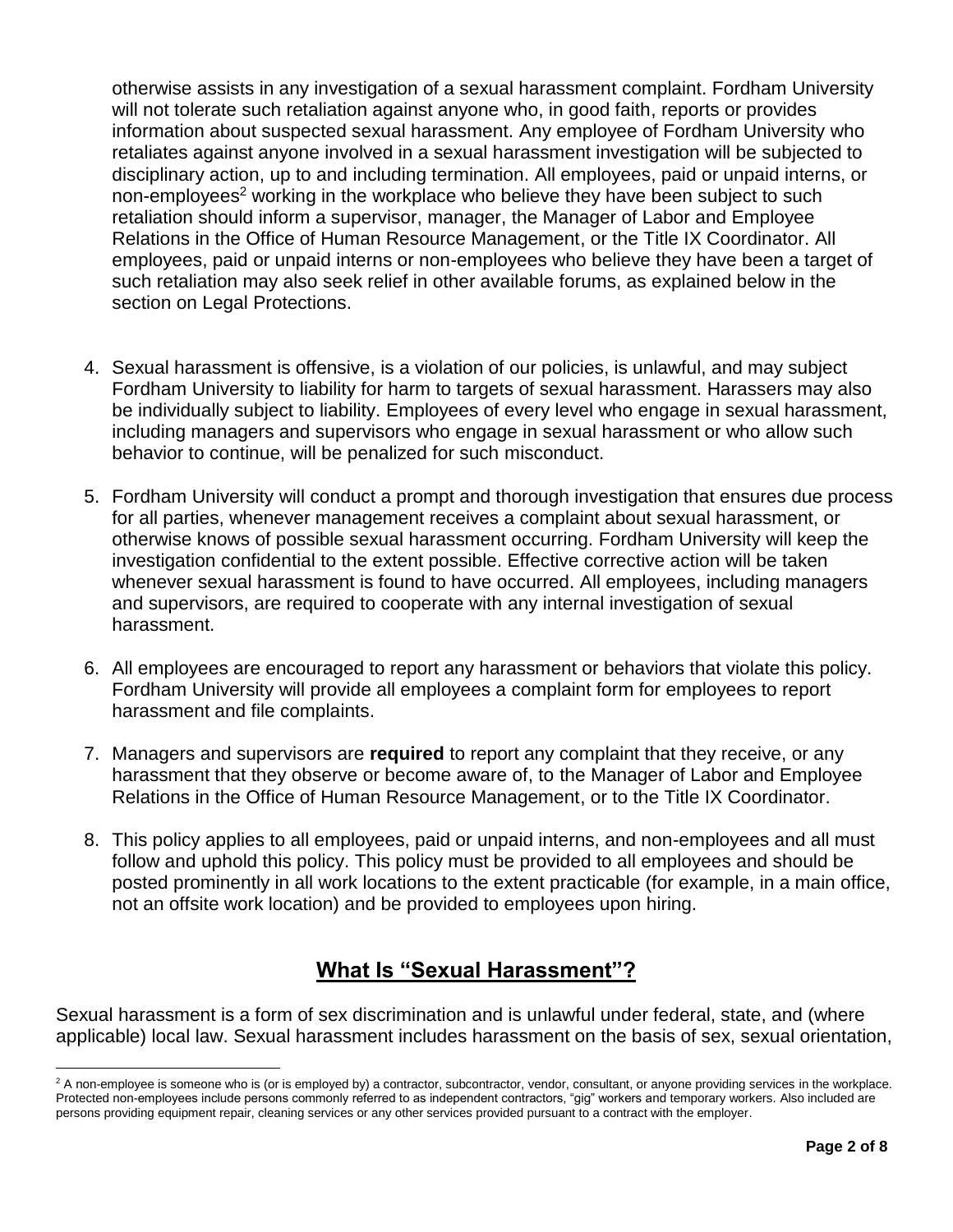otherwise assists in any investigation of a sexual harassment complaint. Fordham University will not tolerate such retaliation against anyone who, in good faith, reports or provides information about suspected sexual harassment. Any employee of Fordham University who retaliates against anyone involved in a sexual harassment investigation will be subjected to disciplinary action, up to and including termination. All employees, paid or unpaid interns, or non-employees<sup>2</sup> working in the workplace who believe they have been subject to such retaliation should inform a supervisor, manager, the Manager of Labor and Employee Relations in the Office of Human Resource Management, or the Title IX Coordinator. All employees, paid or unpaid interns or non-employees who believe they have been a target of such retaliation may also seek relief in other available forums, as explained below in the section on Legal Protections.

- 4. Sexual harassment is offensive, is a violation of our policies, is unlawful, and may subject Fordham University to liability for harm to targets of sexual harassment. Harassers may also be individually subject to liability. Employees of every level who engage in sexual harassment, including managers and supervisors who engage in sexual harassment or who allow such behavior to continue, will be penalized for such misconduct.
- 5. Fordham University will conduct a prompt and thorough investigation that ensures due process for all parties, whenever management receives a complaint about sexual harassment, or otherwise knows of possible sexual harassment occurring. Fordham University will keep the investigation confidential to the extent possible. Effective corrective action will be taken whenever sexual harassment is found to have occurred. All employees, including managers and supervisors, are required to cooperate with any internal investigation of sexual harassment.
- 6. All employees are encouraged to report any harassment or behaviors that violate this policy. Fordham University will provide all employees a complaint form for employees to report harassment and file complaints.
- 7. Managers and supervisors are **required** to report any complaint that they receive, or any harassment that they observe or become aware of, to the Manager of Labor and Employee Relations in the Office of Human Resource Management, or to the Title IX Coordinator.
- 8. This policy applies to all employees, paid or unpaid interns, and non-employees and all must follow and uphold this policy. This policy must be provided to all employees and should be posted prominently in all work locations to the extent practicable (for example, in a main office, not an offsite work location) and be provided to employees upon hiring.

## **What Is "Sexual Harassment"?**

Sexual harassment is a form of sex discrimination and is unlawful under federal, state, and (where applicable) local law. Sexual harassment includes harassment on the basis of sex, sexual orientation,

 $\overline{a}$  $2$  A non-employee is someone who is (or is employed by) a contractor, subcontractor, vendor, consultant, or anyone providing services in the workplace. Protected non-employees include persons commonly referred to as independent contractors, "gig" workers and temporary workers. Also included are persons providing equipment repair, cleaning services or any other services provided pursuant to a contract with the employer.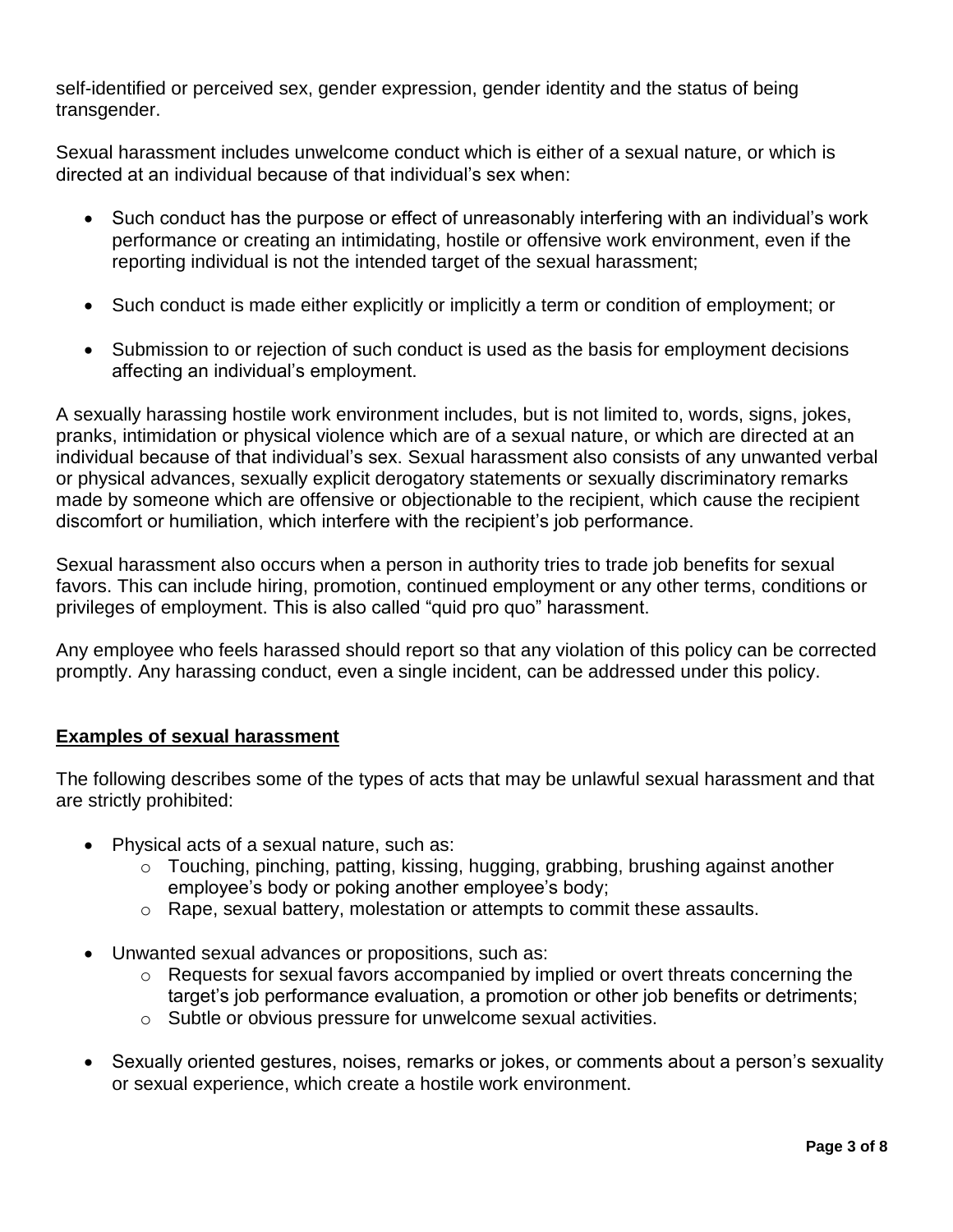self-identified or perceived sex, gender expression, gender identity and the status of being transgender.

Sexual harassment includes unwelcome conduct which is either of a sexual nature, or which is directed at an individual because of that individual's sex when:

- Such conduct has the purpose or effect of unreasonably interfering with an individual's work performance or creating an intimidating, hostile or offensive work environment, even if the reporting individual is not the intended target of the sexual harassment;
- Such conduct is made either explicitly or implicitly a term or condition of employment; or
- Submission to or rejection of such conduct is used as the basis for employment decisions affecting an individual's employment.

A sexually harassing hostile work environment includes, but is not limited to, words, signs, jokes, pranks, intimidation or physical violence which are of a sexual nature, or which are directed at an individual because of that individual's sex. Sexual harassment also consists of any unwanted verbal or physical advances, sexually explicit derogatory statements or sexually discriminatory remarks made by someone which are offensive or objectionable to the recipient, which cause the recipient discomfort or humiliation, which interfere with the recipient's job performance.

Sexual harassment also occurs when a person in authority tries to trade job benefits for sexual favors. This can include hiring, promotion, continued employment or any other terms, conditions or privileges of employment. This is also called "quid pro quo" harassment.

Any employee who feels harassed should report so that any violation of this policy can be corrected promptly. Any harassing conduct, even a single incident, can be addressed under this policy.

#### **Examples of sexual harassment**

The following describes some of the types of acts that may be unlawful sexual harassment and that are strictly prohibited:

- Physical acts of a sexual nature, such as:
	- o Touching, pinching, patting, kissing, hugging, grabbing, brushing against another employee's body or poking another employee's body;
	- o Rape, sexual battery, molestation or attempts to commit these assaults.
- Unwanted sexual advances or propositions, such as:
	- o Requests for sexual favors accompanied by implied or overt threats concerning the target's job performance evaluation, a promotion or other job benefits or detriments;
	- o Subtle or obvious pressure for unwelcome sexual activities.
- Sexually oriented gestures, noises, remarks or jokes, or comments about a person's sexuality or sexual experience, which create a hostile work environment.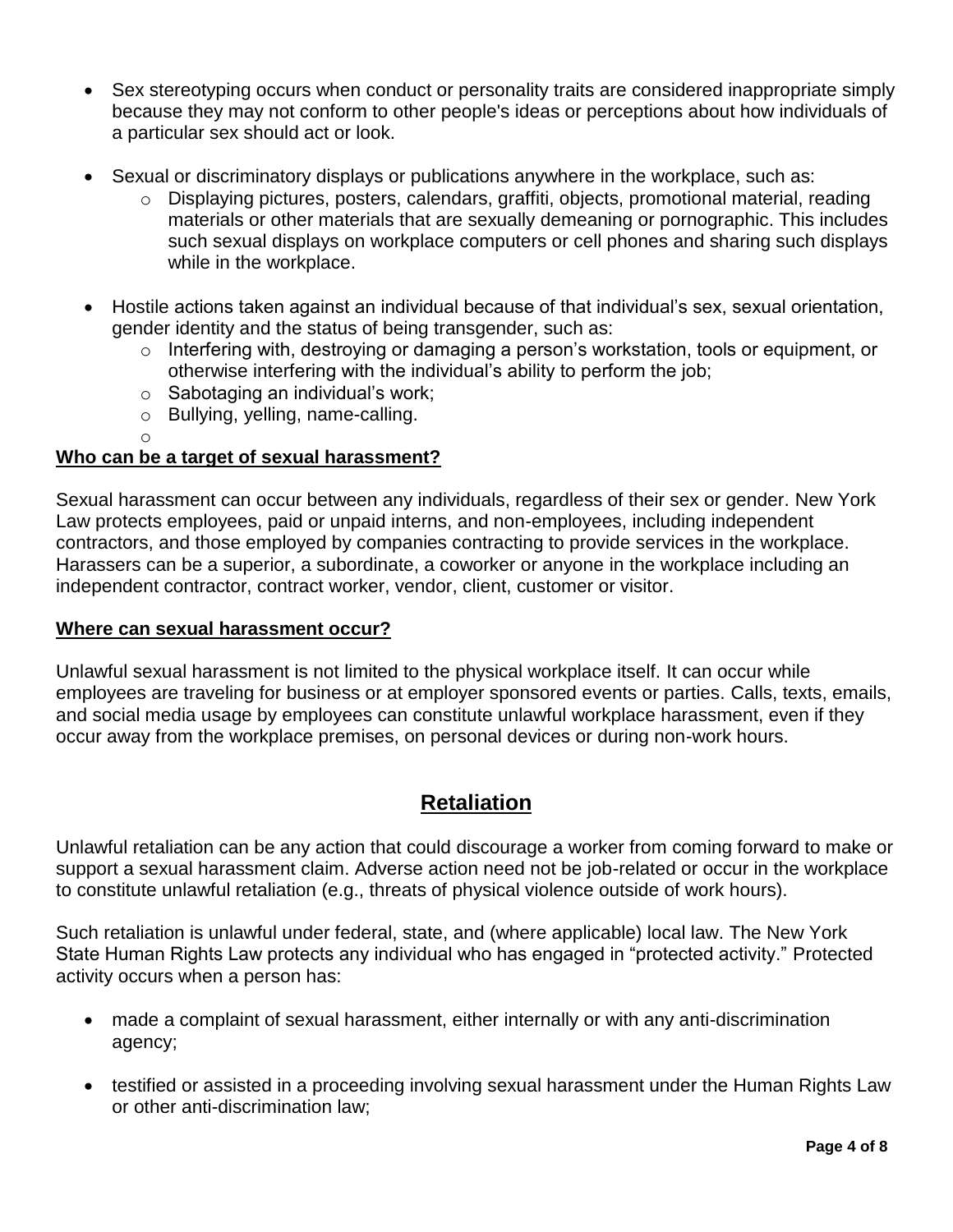- Sex stereotyping occurs when conduct or personality traits are considered inappropriate simply because they may not conform to other people's ideas or perceptions about how individuals of a particular sex should act or look.
- Sexual or discriminatory displays or publications anywhere in the workplace, such as:
	- $\circ$  Displaying pictures, posters, calendars, graffiti, objects, promotional material, reading materials or other materials that are sexually demeaning or pornographic. This includes such sexual displays on workplace computers or cell phones and sharing such displays while in the workplace.
- Hostile actions taken against an individual because of that individual's sex, sexual orientation, gender identity and the status of being transgender, such as:
	- o Interfering with, destroying or damaging a person's workstation, tools or equipment, or otherwise interfering with the individual's ability to perform the job;
	- $\circ$  Sabotaging an individual's work;
	- o Bullying, yelling, name-calling.
	- $\Omega$

### **Who can be a target of sexual harassment?**

Sexual harassment can occur between any individuals, regardless of their sex or gender. New York Law protects employees, paid or unpaid interns, and non-employees, including independent contractors, and those employed by companies contracting to provide services in the workplace. Harassers can be a superior, a subordinate, a coworker or anyone in the workplace including an independent contractor, contract worker, vendor, client, customer or visitor.

#### **Where can sexual harassment occur?**

Unlawful sexual harassment is not limited to the physical workplace itself. It can occur while employees are traveling for business or at employer sponsored events or parties. Calls, texts, emails, and social media usage by employees can constitute unlawful workplace harassment, even if they occur away from the workplace premises, on personal devices or during non-work hours.

### **Retaliation**

Unlawful retaliation can be any action that could discourage a worker from coming forward to make or support a sexual harassment claim. Adverse action need not be job-related or occur in the workplace to constitute unlawful retaliation (e.g., threats of physical violence outside of work hours).

Such retaliation is unlawful under federal, state, and (where applicable) local law. The New York State Human Rights Law protects any individual who has engaged in "protected activity." Protected activity occurs when a person has:

- made a complaint of sexual harassment, either internally or with any anti-discrimination agency;
- testified or assisted in a proceeding involving sexual harassment under the Human Rights Law or other anti-discrimination law;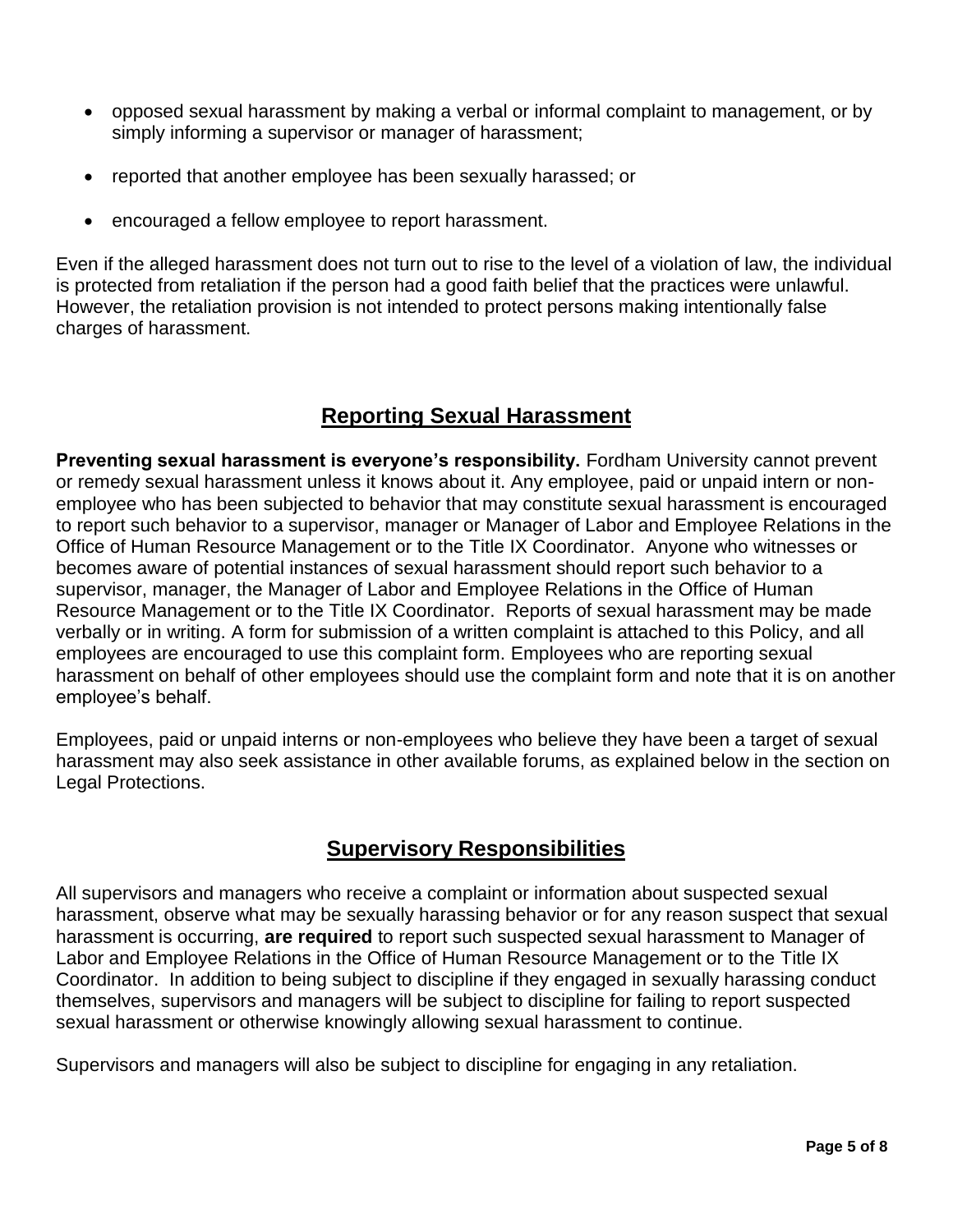- opposed sexual harassment by making a verbal or informal complaint to management, or by simply informing a supervisor or manager of harassment;
- reported that another employee has been sexually harassed; or
- encouraged a fellow employee to report harassment.

Even if the alleged harassment does not turn out to rise to the level of a violation of law, the individual is protected from retaliation if the person had a good faith belief that the practices were unlawful. However, the retaliation provision is not intended to protect persons making intentionally false charges of harassment.

### **Reporting Sexual Harassment**

**Preventing sexual harassment is everyone's responsibility.** Fordham University cannot prevent or remedy sexual harassment unless it knows about it. Any employee, paid or unpaid intern or nonemployee who has been subjected to behavior that may constitute sexual harassment is encouraged to report such behavior to a supervisor, manager or Manager of Labor and Employee Relations in the Office of Human Resource Management or to the Title IX Coordinator. Anyone who witnesses or becomes aware of potential instances of sexual harassment should report such behavior to a supervisor, manager, the Manager of Labor and Employee Relations in the Office of Human Resource Management or to the Title IX Coordinator. Reports of sexual harassment may be made verbally or in writing. A form for submission of a written complaint is attached to this Policy, and all employees are encouraged to use this complaint form. Employees who are reporting sexual harassment on behalf of other employees should use the complaint form and note that it is on another employee's behalf.

Employees, paid or unpaid interns or non-employees who believe they have been a target of sexual harassment may also seek assistance in other available forums, as explained below in the section on Legal Protections.

### **Supervisory Responsibilities**

All supervisors and managers who receive a complaint or information about suspected sexual harassment, observe what may be sexually harassing behavior or for any reason suspect that sexual harassment is occurring, **are required** to report such suspected sexual harassment to Manager of Labor and Employee Relations in the Office of Human Resource Management or to the Title IX Coordinator. In addition to being subject to discipline if they engaged in sexually harassing conduct themselves, supervisors and managers will be subject to discipline for failing to report suspected sexual harassment or otherwise knowingly allowing sexual harassment to continue.

Supervisors and managers will also be subject to discipline for engaging in any retaliation.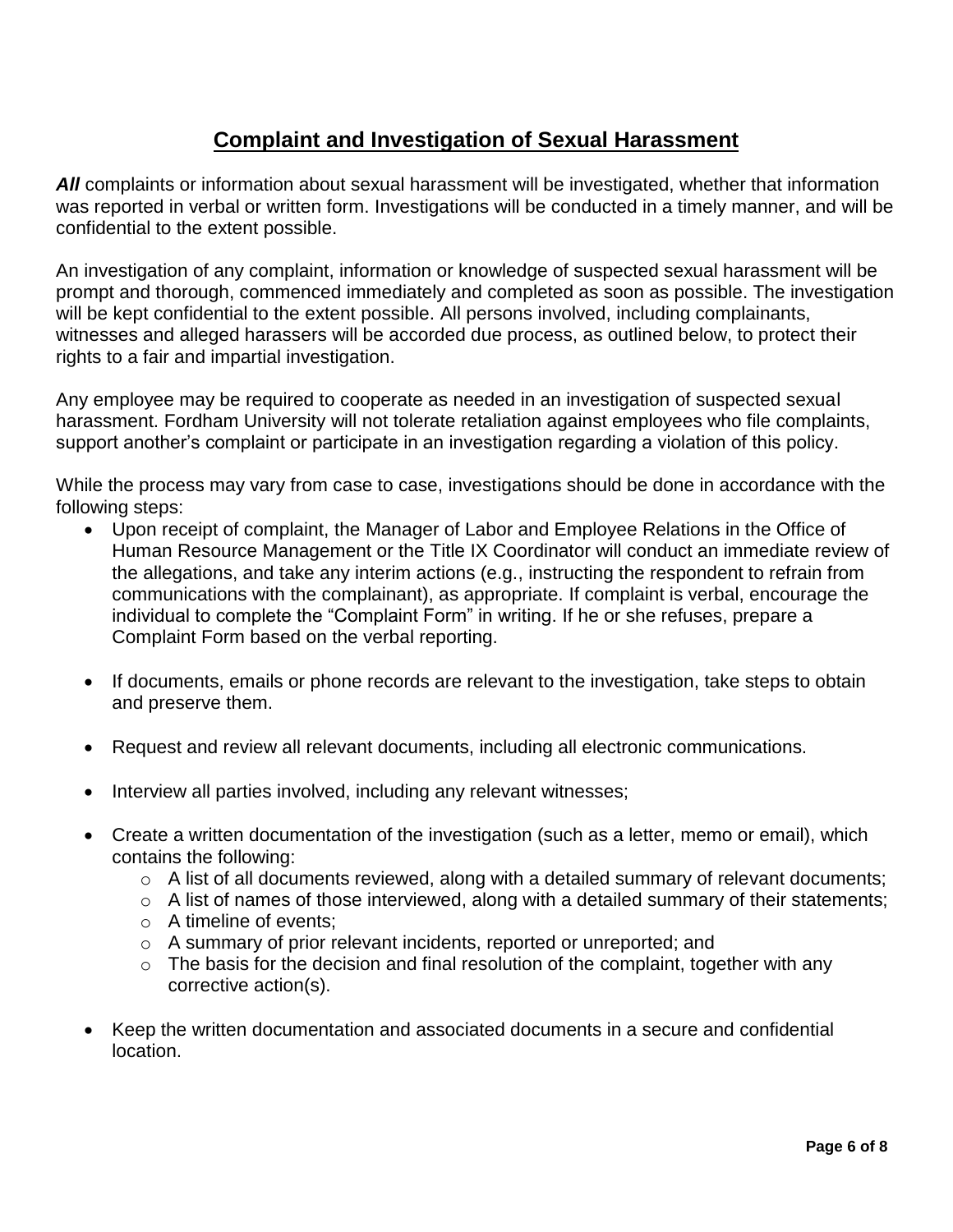### **Complaint and Investigation of Sexual Harassment**

*All* complaints or information about sexual harassment will be investigated, whether that information was reported in verbal or written form. Investigations will be conducted in a timely manner, and will be confidential to the extent possible.

An investigation of any complaint, information or knowledge of suspected sexual harassment will be prompt and thorough, commenced immediately and completed as soon as possible. The investigation will be kept confidential to the extent possible. All persons involved, including complainants, witnesses and alleged harassers will be accorded due process, as outlined below, to protect their rights to a fair and impartial investigation.

Any employee may be required to cooperate as needed in an investigation of suspected sexual harassment. Fordham University will not tolerate retaliation against employees who file complaints, support another's complaint or participate in an investigation regarding a violation of this policy.

While the process may vary from case to case, investigations should be done in accordance with the following steps:

- Upon receipt of complaint, the Manager of Labor and Employee Relations in the Office of Human Resource Management or the Title IX Coordinator will conduct an immediate review of the allegations, and take any interim actions (e.g., instructing the respondent to refrain from communications with the complainant), as appropriate. If complaint is verbal, encourage the individual to complete the "Complaint Form" in writing. If he or she refuses, prepare a Complaint Form based on the verbal reporting.
- If documents, emails or phone records are relevant to the investigation, take steps to obtain and preserve them.
- Request and review all relevant documents, including all electronic communications.
- Interview all parties involved, including any relevant witnesses;
- Create a written documentation of the investigation (such as a letter, memo or email), which contains the following:
	- $\circ$  A list of all documents reviewed, along with a detailed summary of relevant documents;
	- o A list of names of those interviewed, along with a detailed summary of their statements;
	- o A timeline of events;
	- o A summary of prior relevant incidents, reported or unreported; and
	- $\circ$  The basis for the decision and final resolution of the complaint, together with any corrective action(s).
- Keep the written documentation and associated documents in a secure and confidential location.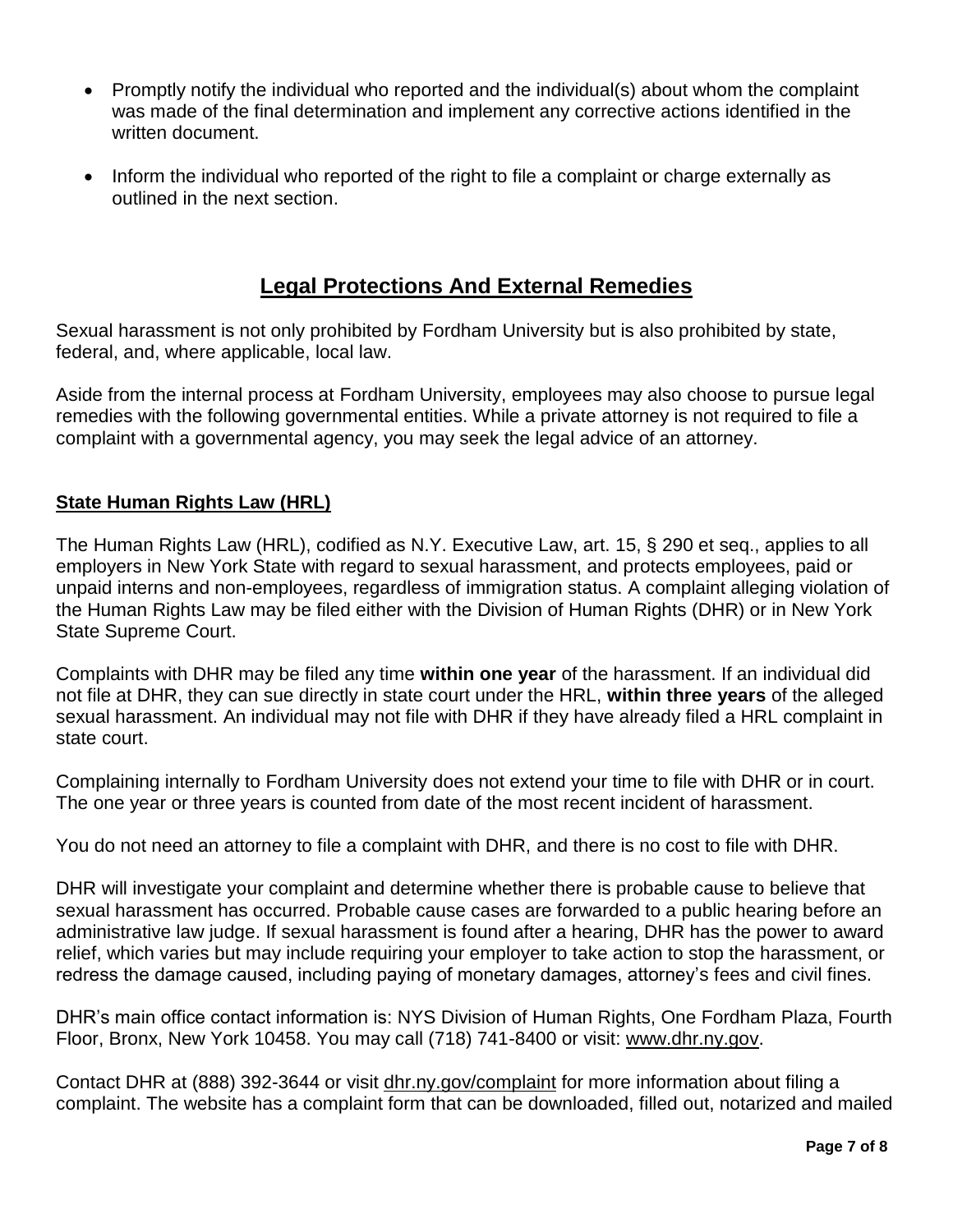- Promptly notify the individual who reported and the individual(s) about whom the complaint was made of the final determination and implement any corrective actions identified in the written document.
- Inform the individual who reported of the right to file a complaint or charge externally as outlined in the next section.

### **Legal Protections And External Remedies**

Sexual harassment is not only prohibited by Fordham University but is also prohibited by state, federal, and, where applicable, local law.

Aside from the internal process at Fordham University, employees may also choose to pursue legal remedies with the following governmental entities. While a private attorney is not required to file a complaint with a governmental agency, you may seek the legal advice of an attorney.

### **State Human Rights Law (HRL)**

The Human Rights Law (HRL), codified as N.Y. Executive Law, art. 15, § 290 et seq., applies to all employers in New York State with regard to sexual harassment, and protects employees, paid or unpaid interns and non-employees, regardless of immigration status. A complaint alleging violation of the Human Rights Law may be filed either with the Division of Human Rights (DHR) or in New York State Supreme Court.

Complaints with DHR may be filed any time **within one year** of the harassment. If an individual did not file at DHR, they can sue directly in state court under the HRL, **within three years** of the alleged sexual harassment. An individual may not file with DHR if they have already filed a HRL complaint in state court.

Complaining internally to Fordham University does not extend your time to file with DHR or in court. The one year or three years is counted from date of the most recent incident of harassment.

You do not need an attorney to file a complaint with DHR, and there is no cost to file with DHR.

DHR will investigate your complaint and determine whether there is probable cause to believe that sexual harassment has occurred. Probable cause cases are forwarded to a public hearing before an administrative law judge. If sexual harassment is found after a hearing, DHR has the power to award relief, which varies but may include requiring your employer to take action to stop the harassment, or redress the damage caused, including paying of monetary damages, attorney's fees and civil fines.

DHR's main office contact information is: NYS Division of Human Rights, One Fordham Plaza, Fourth Floor, Bronx, New York 10458. You may call (718) 741-8400 or visit: [www.dhr.ny.gov.](http://www.dhr.ny.gov/)

Contact DHR at (888) 392-3644 or visit [dhr.ny.gov/complaint](https://dhr.ny.gov/complaint) for more information about filing a complaint. The website has a complaint form that can be downloaded, filled out, notarized and mailed